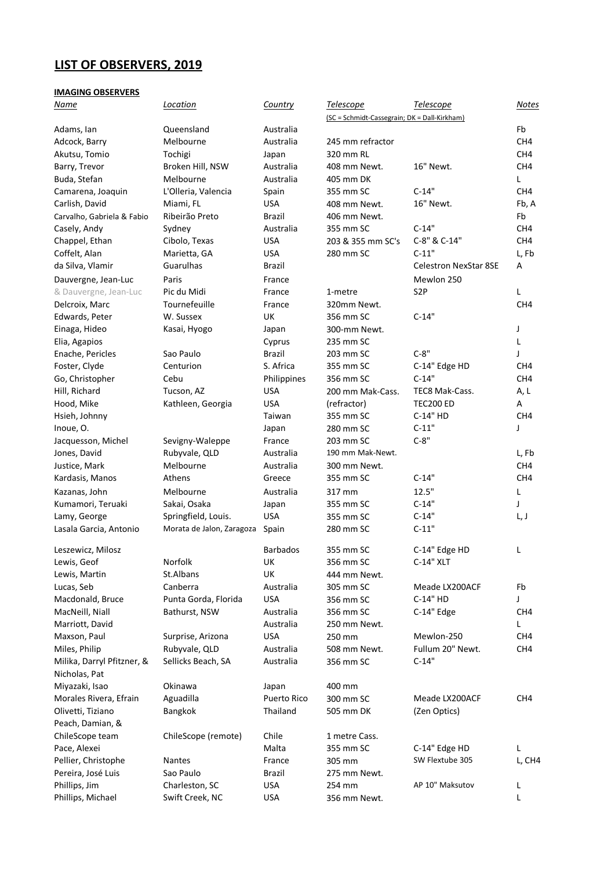## **LIST OF OBSERVERS, 2019**

## **IMAGING OBSERVERS**

| <u>Name</u>                | Location                  | Country         | <b>Telescope</b>                             | <b>Telescope</b>             | <u>Notes</u>    |
|----------------------------|---------------------------|-----------------|----------------------------------------------|------------------------------|-----------------|
|                            |                           |                 | (SC = Schmidt-Cassegrain; DK = Dall-Kirkham) |                              |                 |
| Adams, Ian                 | Queensland                | Australia       |                                              |                              | Fb              |
| Adcock, Barry              | Melbourne                 | Australia       | 245 mm refractor                             |                              | CH <sub>4</sub> |
| Akutsu, Tomio              | Tochigi                   | Japan           | 320 mm RL                                    |                              | CH4             |
| Barry, Trevor              | Broken Hill, NSW          | Australia       | 408 mm Newt.                                 | 16" Newt.                    | CH <sub>4</sub> |
| Buda, Stefan               | Melbourne                 | Australia       | 405 mm DK                                    |                              | L               |
| Camarena, Joaquin          | L'Olleria, Valencia       | Spain           | 355 mm SC                                    | $C-14"$                      | CH <sub>4</sub> |
| Carlish, David             | Miami, FL                 | <b>USA</b>      | 408 mm Newt.                                 | 16" Newt.                    | Fb, A           |
| Carvalho, Gabriela & Fabio | Ribeirão Preto            | Brazil          | 406 mm Newt.                                 |                              | Fb              |
| Casely, Andy               | Sydney                    | Australia       | 355 mm SC                                    | $C-14"$                      | CH4             |
| Chappel, Ethan             | Cibolo, Texas             | <b>USA</b>      | 203 & 355 mm SC's                            | C-8" & C-14"                 | CH4             |
| Coffelt, Alan              | Marietta, GA              | <b>USA</b>      | 280 mm SC                                    | $C-11"$                      | L, Fb           |
| da Silva, Vlamir           | Guarulhas                 | Brazil          |                                              | <b>Celestron NexStar 8SE</b> | A               |
| Dauvergne, Jean-Luc        | Paris                     | France          |                                              | Mewlon 250                   |                 |
| & Dauvergne, Jean-Luc      | Pic du Midi               | France          | 1-metre                                      | S <sub>2</sub> P             | L               |
| Delcroix, Marc             | Tournefeuille             | France          | 320mm Newt.                                  |                              | CH <sub>4</sub> |
| Edwards, Peter             | W. Sussex                 | UK              | 356 mm SC                                    | $C-14"$                      |                 |
| Einaga, Hideo              | Kasai, Hyogo              | Japan           | 300-mm Newt.                                 |                              | J               |
| Elia, Agapios              |                           | Cyprus          | 235 mm SC                                    |                              | L               |
| Enache, Pericles           | Sao Paulo                 | Brazil          | 203 mm SC                                    | $C-8"$                       | J               |
| Foster, Clyde              | Centurion                 | S. Africa       | 355 mm SC                                    | C-14" Edge HD                | CH <sub>4</sub> |
| Go, Christopher            | Cebu                      | Philippines     | 356 mm SC                                    | $C-14"$                      | CH <sub>4</sub> |
| Hill, Richard              | Tucson, AZ                | <b>USA</b>      | 200 mm Mak-Cass.                             | TEC8 Mak-Cass.               | A, L            |
| Hood, Mike                 | Kathleen, Georgia         | <b>USA</b>      | (refractor)                                  | <b>TEC200 ED</b>             | Α               |
| Hsieh, Johnny              |                           | Taiwan          | 355 mm SC                                    | C-14" HD                     | CH4             |
| Inoue, O.                  |                           | Japan           | 280 mm SC                                    | $C-11"$                      | J               |
| Jacquesson, Michel         | Sevigny-Waleppe           | France          | 203 mm SC                                    | $C-8"$                       |                 |
| Jones, David               | Rubyvale, QLD             | Australia       | 190 mm Mak-Newt.                             |                              | L, Fb           |
| Justice, Mark              | Melbourne                 | Australia       | 300 mm Newt.                                 |                              | CH4             |
| Kardasis, Manos            | Athens                    | Greece          | 355 mm SC                                    | $C-14"$                      | CH <sub>4</sub> |
| Kazanas, John              | Melbourne                 | Australia       | 317 mm                                       | 12.5"                        | L               |
| Kumamori, Teruaki          | Sakai, Osaka              | Japan           | 355 mm SC                                    | $C-14"$                      | J               |
| Lamy, George               | Springfield, Louis.       | <b>USA</b>      | 355 mm SC                                    | $C-14"$                      | L, J            |
| Lasala Garcia, Antonio     | Morata de Jalon, Zaragoza | Spain           | 280 mm SC                                    | $C-11"$                      |                 |
| Leszewicz, Milosz          |                           | <b>Barbados</b> | 355 mm SC                                    | C-14" Edge HD                | L               |
| Lewis, Geof                | Norfolk                   | UK              | 356 mm SC                                    | C-14" XLT                    |                 |
| Lewis, Martin              | St.Albans                 | UK              | 444 mm Newt.                                 |                              |                 |
| Lucas, Seb                 | Canberra                  | Australia       | 305 mm SC                                    | Meade LX200ACF               | Fb              |
| Macdonald, Bruce           | Punta Gorda, Florida      | <b>USA</b>      | 356 mm SC                                    | C-14" HD                     | J               |
| MacNeill, Niall            | Bathurst, NSW             | Australia       | 356 mm SC                                    | C-14" Edge                   | CH4             |
| Marriott, David            |                           | Australia       | 250 mm Newt.                                 |                              | L               |
| Maxson, Paul               | Surprise, Arizona         | <b>USA</b>      | 250 mm                                       | Mewlon-250                   | CH <sub>4</sub> |
| Miles, Philip              | Rubyvale, QLD             | Australia       | 508 mm Newt.                                 | Fullum 20" Newt.             | CH4             |
| Milika, Darryl Pfitzner, & | Sellicks Beach, SA        | Australia       | 356 mm SC                                    | $C-14"$                      |                 |
| Nicholas, Pat              |                           |                 |                                              |                              |                 |
| Miyazaki, Isao             | Okinawa                   | Japan           | 400 mm                                       |                              |                 |
| Morales Rivera, Efrain     | Aguadilla                 | Puerto Rico     | 300 mm SC                                    | Meade LX200ACF               | CH <sub>4</sub> |
| Olivetti, Tiziano          | Bangkok                   | Thailand        | 505 mm DK                                    | (Zen Optics)                 |                 |
| Peach, Damian, &           |                           |                 |                                              |                              |                 |
| ChileScope team            | ChileScope (remote)       | Chile           | 1 metre Cass.                                |                              |                 |
| Pace, Alexei               |                           | Malta           | 355 mm SC                                    | C-14" Edge HD                | L               |
| Pellier, Christophe        | <b>Nantes</b>             | France          | 305 mm                                       | SW Flextube 305              | L, CH4          |
| Pereira, José Luis         | Sao Paulo                 | Brazil          | 275 mm Newt.                                 |                              |                 |
| Phillips, Jim              | Charleston, SC            | <b>USA</b>      | 254 mm                                       | AP 10" Maksutov              | L               |
| Phillips, Michael          | Swift Creek, NC           | <b>USA</b>      | 356 mm Newt.                                 |                              | L               |